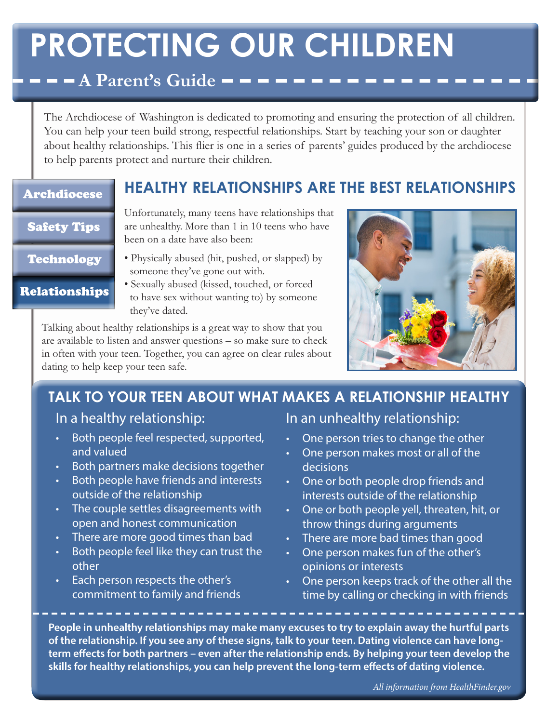# **PROTECTING OUR CHILDREN**

### $\blacksquare$   $\blacksquare$   $\blacksquare$   $\blacksquare$   $\blacksquare$   $\blacksquare$   $\blacksquare$   $\blacksquare$   $\blacksquare$   $\blacksquare$   $\blacksquare$   $\blacksquare$   $\blacksquare$   $\blacksquare$   $\blacksquare$   $\blacksquare$   $\blacksquare$   $\blacksquare$   $\blacksquare$   $\blacksquare$   $\blacksquare$   $\blacksquare$   $\blacksquare$   $\blacksquare$   $\blacksquare$   $\blacksquare$   $\blacksquare$   $\blacksquare$   $\blacksquare$   $\blacksquare$   $\blacksquare$   $\blacks$

The Archdiocese of Washington is dedicated to promoting and ensuring the protection of all children. You can help your teen build strong, respectful relationships. Start by teaching your son or daughter about healthy relationships. This flier is one in a series of parents' guides produced by the archdiocese to help parents protect and nurture their children.

**HEALTHY RELATIONSHIPS ARE THE BEST RELATIONSHIPS**

### Archdiocese

#### Safety Tips

Technology

Relationships

- Unfortunately, many teens have relationships that are unhealthy. More than 1 in 10 teens who have been on a date have also been:
- Physically abused (hit, pushed, or slapped) by someone they've gone out with.
- Sexually abused (kissed, touched, or forced to have sex without wanting to) by someone they've dated.

Talking about healthy relationships is a great way to show that you are available to listen and answer questions – so make sure to check in often with your teen. Together, you can agree on clear rules about dating to help keep your teen safe.



# **TALK TO YOUR TEEN ABOUT WHAT MAKES A RELATIONSHIP HEALTHY**

### In a healthy relationship:

- • Both people feel respected, supported, and valued
- Both partners make decisions together
- Both people have friends and interests outside of the relationship
- • The couple settles disagreements with open and honest communication
- There are more good times than bad
- Both people feel like they can trust the other
- Each person respects the other's commitment to family and friends

In an unhealthy relationship:

- One person tries to change the other
- • One person makes most or all of the decisions
- One or both people drop friends and interests outside of the relationship
- • One or both people yell, threaten, hit, or throw things during arguments
- There are more bad times than good
- • One person makes fun of the other's opinions or interests
- One person keeps track of the other all the time by calling or checking in with friends

**People in unhealthy relationships may make many excuses to try to explain away the hurtful parts of the relationship. If you see any of these signs, talk to your teen. Dating violence can have longterm effects for both partners – even after the relationship ends. By helping your teen develop the skills for healthy relationships, you can help prevent the long-term effects of dating violence.**